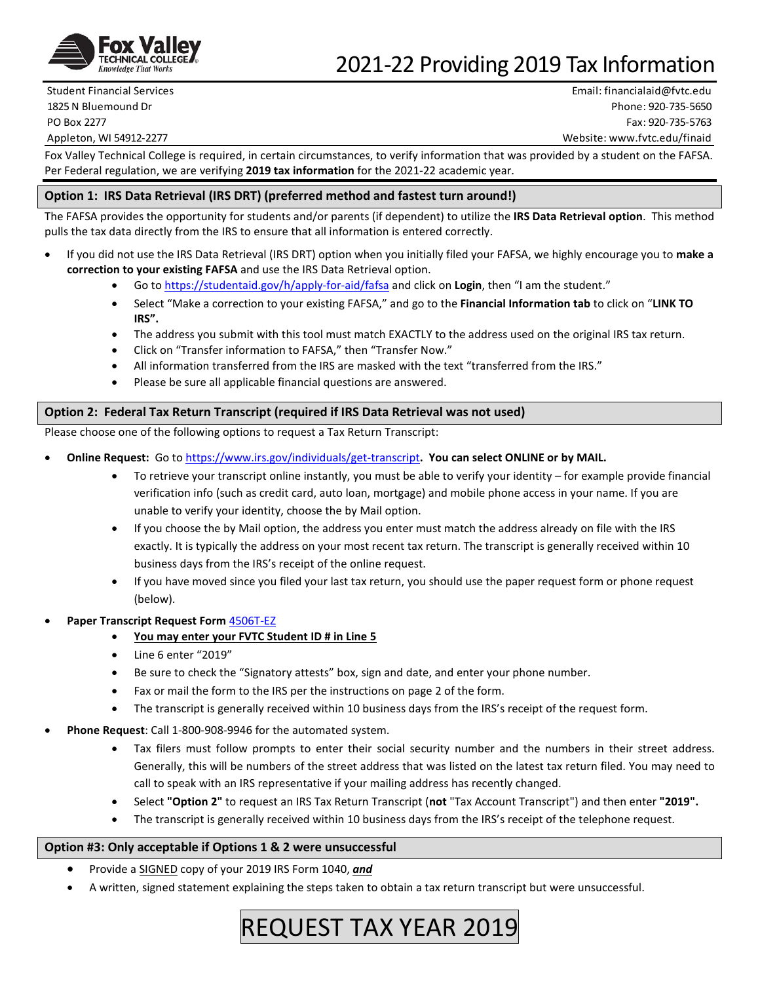

## 2021-22 Providing 2019 Tax Information

Student Financial Services Email: financialaid@fvtc.edu 1825 N Bluemound Dr Phone: 920-735-5650 PO Box 2277 Fax: 920-735-5763 Appleton, WI 54912-2277 Website: www.fvtc.edu/finaid

Fox Valley Technical College is required, in certain circumstances, to verify information that was provided by a student on the FAFSA. Per Federal regulation, we are verifying **2019 tax information** for the 2021-22 academic year.

## **Option 1: IRS Data Retrieval (IRS DRT) (preferred method and fastest turn around!)**

The FAFSA provides the opportunity for students and/or parents (if dependent) to utilize the **IRS Data Retrieval option**. This method pulls the tax data directly from the IRS to ensure that all information is entered correctly.

- If you did not use the IRS Data Retrieval (IRS DRT) option when you initially filed your FAFSA, we highly encourage you to **make a correction to your existing FAFSA** and use the IRS Data Retrieval option.
	- Go t[o https://studentaid.gov/h/apply-for-aid/fafsa](https://studentaid.gov/h/apply-for-aid/fafsa) and click on **Login**, then "I am the student."
	- Select "Make a correction to your existing FAFSA," and go to the **Financial Information tab** to click on "**LINK TO IRS".**
	- The address you submit with this tool must match EXACTLY to the address used on the original IRS tax return.
	- Click on "Transfer information to FAFSA," then "Transfer Now."
	- All information transferred from the IRS are masked with the text "transferred from the IRS."
	- Please be sure all applicable financial questions are answered.

## **Option 2: Federal Tax Return Transcript (required if IRS Data Retrieval was not used)**

Please choose one of the following options to request a Tax Return Transcript:

- **Online Request:** Go t[o https://www.irs.gov/individuals/get-transcript](https://www.irs.gov/individuals/get-transcript)**. You can select ONLINE or by MAIL.**
	- To retrieve your transcript online instantly, you must be able to verify your identity for example provide financial verification info (such as credit card, auto loan, mortgage) and mobile phone access in your name. If you are unable to verify your identity, choose the by Mail option.
	- If you choose the by Mail option, the address you enter must match the address already on file with the IRS exactly. It is typically the address on your most recent tax return. The transcript is generally received within 10 business days from the IRS's receipt of the online request.
	- If you have moved since you filed your last tax return, you should use the paper request form or phone request (below).
- **Paper Transcript Request Form** [4506T-EZ](https://www.irs.gov/pub/irs-pdf/f4506tez.pdf)
	- **You may enter your FVTC Student ID # in Line 5**
	- Line 6 enter "2019"
	- Be sure to check the "Signatory attests" box, sign and date, and enter your phone number.
	- Fax or mail the form to the IRS per the instructions on page 2 of the form.
	- The transcript is generally received within 10 business days from the IRS's receipt of the request form.
- **Phone Request**: Call 1-800-908-9946 for the automated system.
	- Tax filers must follow prompts to enter their social security number and the numbers in their street address. Generally, this will be numbers of the street address that was listed on the latest tax return filed. You may need to call to speak with an IRS representative if your mailing address has recently changed.
	- Select **"Option 2"** to request an IRS Tax Return Transcript (**not** "Tax Account Transcript") and then enter **"2019".**
	- The transcript is generally received within 10 business days from the IRS's receipt of the telephone request.

## **Option #3: Only acceptable if Options 1 & 2 were unsuccessful**

- Provide a SIGNED copy of your 2019 IRS Form 1040, *and*
- A written, signed statement explaining the steps taken to obtain a tax return transcript but were unsuccessful.

# REQUEST TAX YEAR 2019